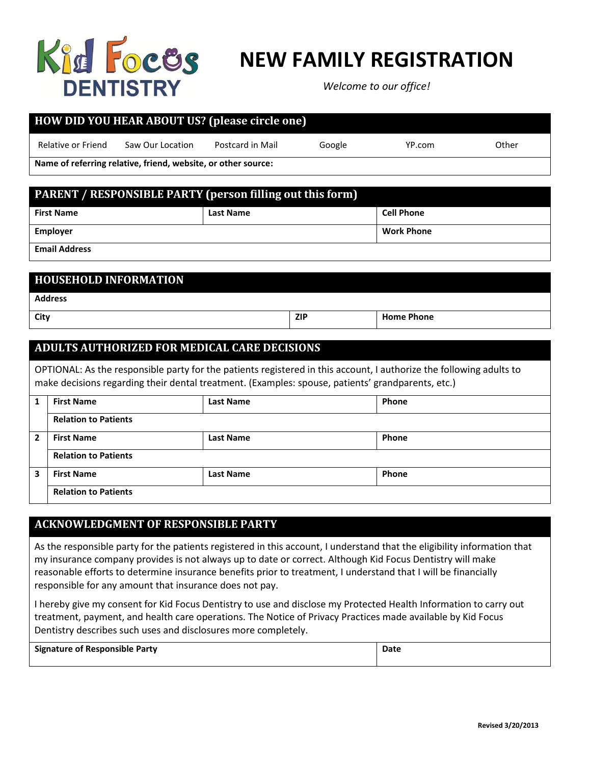

### **NEW FAMILY REGISTRATION**

*Welcome to our office!*

| <b>HOW DID YOU HEAR ABOUT US? (please circle one)</b>         |                  |                  |        |                   |  |  |  |
|---------------------------------------------------------------|------------------|------------------|--------|-------------------|--|--|--|
| Relative or Friend                                            | Saw Our Location | Postcard in Mail | Google | Other<br>YP.com   |  |  |  |
| Name of referring relative, friend, website, or other source: |                  |                  |        |                   |  |  |  |
|                                                               |                  |                  |        |                   |  |  |  |
| PARENT / RESPONSIBLE PARTY (person filling out this form)     |                  |                  |        |                   |  |  |  |
| <b>First Name</b>                                             |                  | <b>Last Name</b> |        | <b>Cell Phone</b> |  |  |  |
| <b>Employer</b>                                               |                  |                  |        | <b>Work Phone</b> |  |  |  |
| <b>Email Address</b>                                          |                  |                  |        |                   |  |  |  |

| <b>HOUSEHOLD INFORMATION</b> |            |                   |  |  |  |
|------------------------------|------------|-------------------|--|--|--|
| <b>Address</b>               |            |                   |  |  |  |
| City                         | <b>ZIP</b> | <b>Home Phone</b> |  |  |  |

#### **ADULTS AUTHORIZED FOR MEDICAL CARE DECISIONS**

OPTIONAL: As the responsible party for the patients registered in this account, I authorize the following adults to make decisions regarding their dental treatment. (Examples: spouse, patients' grandparents, etc.)

| 1              | <b>First Name</b>           | <b>Last Name</b> | Phone |  |  |  |
|----------------|-----------------------------|------------------|-------|--|--|--|
|                | <b>Relation to Patients</b> |                  |       |  |  |  |
| $\overline{2}$ | <b>First Name</b>           | <b>Last Name</b> | Phone |  |  |  |
|                | <b>Relation to Patients</b> |                  |       |  |  |  |
| 3              | <b>First Name</b>           | <b>Last Name</b> | Phone |  |  |  |
|                | <b>Relation to Patients</b> |                  |       |  |  |  |

#### **ACKNOWLEDGMENT OF RESPONSIBLE PARTY**

As the responsible party for the patients registered in this account, I understand that the eligibility information that my insurance company provides is not always up to date or correct. Although Kid Focus Dentistry will make reasonable efforts to determine insurance benefits prior to treatment, I understand that I will be financially responsible for any amount that insurance does not pay.

I hereby give my consent for Kid Focus Dentistry to use and disclose my Protected Health Information to carry out treatment, payment, and health care operations. The Notice of Privacy Practices made available by Kid Focus Dentistry describes such uses and disclosures more completely.

| <b>Signature of Responsible Party</b> | Date |
|---------------------------------------|------|
|                                       |      |